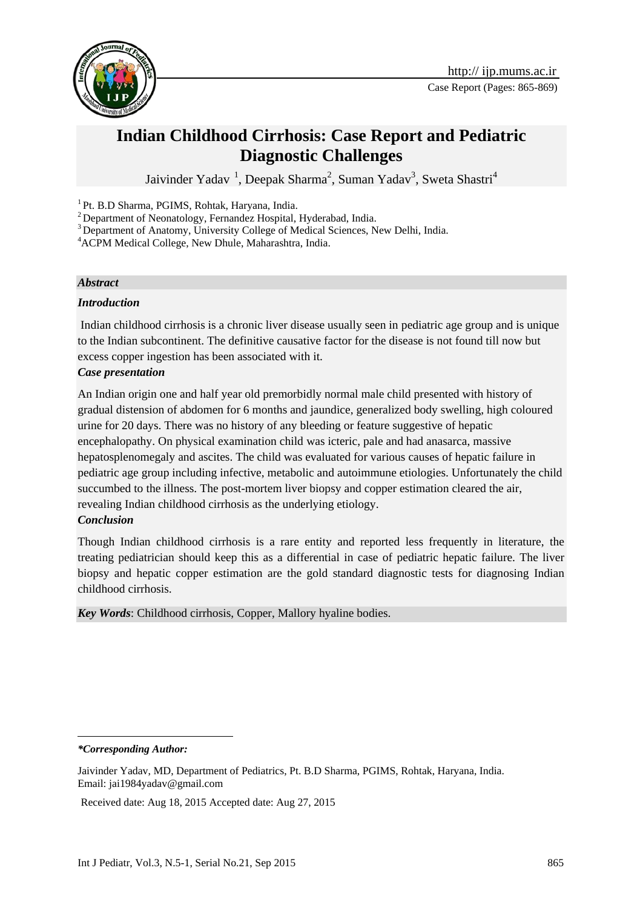

# **Indian Childhood Cirrhosis: Case Report and Pediatric Diagnostic Challenges**

Jaivinder Yadav <sup>1</sup>, Deepak Sharma<sup>2</sup>, Suman Yadav<sup>3</sup>, Sweta Shastri<sup>4</sup>

1 Pt. B.D Sharma, PGIMS, Rohtak, Haryana, India.

<sup>2</sup> Department of Neonatology, Fernandez Hospital, Hyderabad, India.

<sup>3</sup> Department of Anatomy, University College of Medical Sciences, New Delhi, India.

<sup>4</sup>ACPM Medical College, New Dhule, Maharashtra, India.

### *Abstract*

### *Introduction*

Indian childhood cirrhosis is a chronic liver disease usually seen in pediatric age group and is unique to the Indian subcontinent. The definitive causative factor for the disease is not found till now but excess copper ingestion has been associated with it.

### *Case presentation*

An Indian origin one and half year old premorbidly normal male child presented with history of gradual distension of abdomen for 6 months and jaundice, generalized body swelling, high coloured urine for 20 days. There was no history of any bleeding or feature suggestive of hepatic encephalopathy. On physical examination child was icteric, pale and had anasarca, massive hepatosplenomegaly and ascites. The child was evaluated for various causes of hepatic failure in pediatric age group including infective, metabolic and autoimmune etiologies. Unfortunately the child succumbed to the illness. The post-mortem liver biopsy and copper estimation cleared the air, revealing Indian childhood cirrhosis as the underlying etiology.

# *Conclusion*

Though Indian childhood cirrhosis is a rare entity and reported less frequently in literature, the treating pediatrician should keep this as a differential in case of pediatric hepatic failure. The liver biopsy and hepatic copper estimation are the gold standard diagnostic tests for diagnosing Indian childhood cirrhosis.

*Key Words*: Childhood cirrhosis, Copper, Mallory hyaline bodies.

*\*Corresponding Author:*

<u>.</u>

Received date: Aug 18, 2015 Accepted date: Aug 27, 2015

Jaivinder Yadav, MD, Department of Pediatrics, Pt. B.D Sharma, PGIMS, Rohtak, Haryana, India. Email: [jai1984yadav@gmail.com](mailto:jai1984yadav@gmail.com)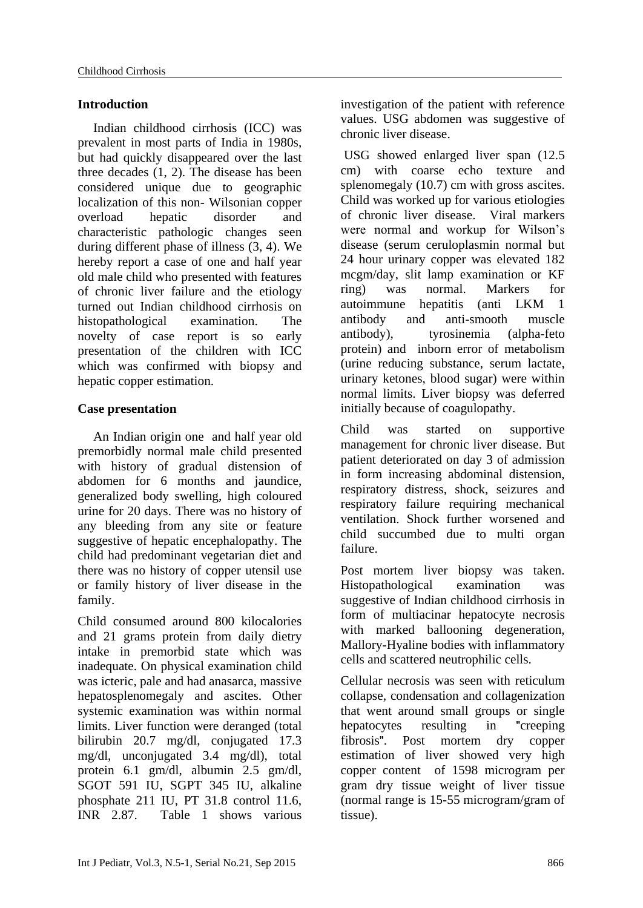# **Introduction**

Indian childhood cirrhosis (ICC) was prevalent in most parts of India in 1980s, but had quickly disappeared over the last three decades (1, 2). The disease has been considered unique due to geographic localization of this non- Wilsonian copper overload hepatic disorder and characteristic pathologic changes seen during different phase of illness (3, 4). We hereby report a case of one and half year old male child who presented with features of chronic liver failure and the etiology turned out Indian childhood cirrhosis on histopathological examination. The novelty of case report is so early presentation of the children with ICC which was confirmed with biopsy and hepatic copper estimation.

# **Case presentation**

An Indian origin one and half year old premorbidly normal male child presented with history of gradual distension of abdomen for 6 months and jaundice, generalized body swelling, high coloured urine for 20 days. There was no history of any bleeding from any site or feature suggestive of hepatic encephalopathy. The child had predominant vegetarian diet and there was no history of copper utensil use or family history of liver disease in the family.

Child consumed around 800 kilocalories and 21 grams protein from daily dietry intake in premorbid state which was inadequate. On physical examination child was icteric, pale and had anasarca, massive hepatosplenomegaly and ascites. Other systemic examination was within normal limits. Liver function were deranged (total bilirubin 20.7 mg/dl, conjugated 17.3 mg/dl, unconjugated 3.4 mg/dl), total protein 6.1 gm/dl, albumin 2.5 gm/dl, SGOT 591 IU, SGPT 345 IU, alkaline phosphate 211 IU, PT 31.8 control 11.6, INR 2.87. Table 1 shows various

investigation of the patient with reference values. USG abdomen was suggestive of chronic liver disease.

USG showed enlarged liver span (12.5 cm) with coarse echo texture and splenomegaly (10.7) cm with gross ascites. Child was worked up for various etiologies of chronic liver disease. Viral markers were normal and workup for Wilson's disease (serum ceruloplasmin normal but 24 hour urinary copper was elevated 182 mcgm/day, slit lamp examination or KF ring) was normal. Markers for autoimmune hepatitis (anti LKM 1 antibody and anti-smooth muscle antibody), tyrosinemia (alpha-feto protein) and inborn error of metabolism (urine reducing substance, serum lactate, urinary ketones, blood sugar) were within normal limits. Liver biopsy was deferred initially because of coagulopathy.

Child was started on supportive management for chronic liver disease. But patient deteriorated on day 3 of admission in form increasing abdominal distension, respiratory distress, shock, seizures and respiratory failure requiring mechanical ventilation. Shock further worsened and child succumbed due to multi organ failure.

Post mortem liver biopsy was taken. Histopathological examination was suggestive of Indian childhood cirrhosis in form of multiacinar hepatocyte necrosis with marked ballooning degeneration, Mallory-Hyaline bodies with inflammatory cells and scattered neutrophilic cells.

Cellular necrosis was seen with reticulum collapse, condensation and collagenization that went around small groups or single hepatocytes resulting in "creeping fibrosis". Post mortem dry copper estimation of liver showed very high copper content of 1598 microgram per gram dry tissue weight of liver tissue (normal range is 15-55 microgram/gram of tissue).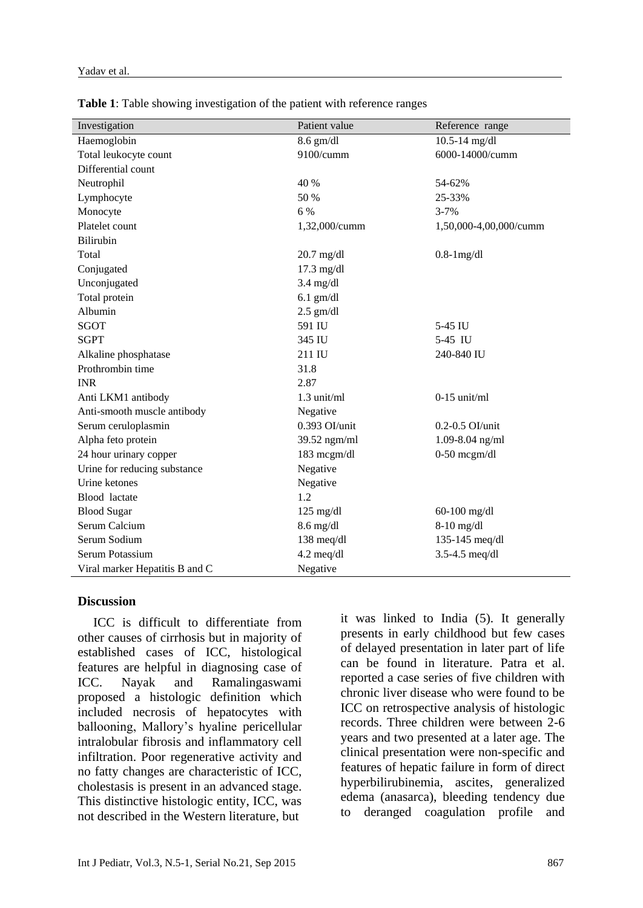| Investigation                  | Patient value        | Reference range        |
|--------------------------------|----------------------|------------------------|
| Haemoglobin                    | $8.6$ gm/dl          | $10.5 - 14$ mg/dl      |
| Total leukocyte count          | 9100/cumm            | 6000-14000/cumm        |
| Differential count             |                      |                        |
| Neutrophil                     | 40 %                 | 54-62%                 |
| Lymphocyte                     | 50 %                 | 25-33%                 |
| Monocyte                       | 6 %                  | $3 - 7%$               |
| Platelet count                 | 1,32,000/cumm        | 1,50,000-4,00,000/cumm |
| Bilirubin                      |                      |                        |
| Total                          | $20.7$ mg/dl         | $0.8-1$ mg/dl          |
| Conjugated                     | $17.3$ mg/dl         |                        |
| Unconjugated                   | $3.4$ mg/dl          |                        |
| Total protein                  | $6.1$ gm/dl          |                        |
| Albumin                        | $2.5$ gm/dl          |                        |
| SGOT                           | 591 IU               | 5-45 IU                |
| <b>SGPT</b>                    | 345 IU               | 5-45 IU                |
| Alkaline phosphatase           | 211 IU               | 240-840 IU             |
| Prothrombin time               | 31.8                 |                        |
| <b>INR</b>                     | 2.87                 |                        |
| Anti LKM1 antibody             | 1.3 unit/ml          | $0-15$ unit/ml         |
| Anti-smooth muscle antibody    | Negative             |                        |
| Serum ceruloplasmin            | $0.393$ OI/unit      | $0.2 - 0.5$ OI/unit    |
| Alpha feto protein             | 39.52 ngm/ml         | 1.09-8.04 ng/ml        |
| 24 hour urinary copper         | 183 mcgm/dl          | $0-50$ mcgm/dl         |
| Urine for reducing substance   | Negative             |                        |
| Urine ketones                  | Negative             |                        |
| Blood lactate                  | 1.2                  |                        |
| <b>Blood Sugar</b>             | $125 \text{ mg/dl}$  | $60-100$ mg/dl         |
| Serum Calcium                  | $8.6$ mg/dl          | $8-10$ mg/dl           |
| Serum Sodium                   | 138 meq/dl           | 135-145 meq/dl         |
| Serum Potassium                | $4.2 \text{ meq/dl}$ | 3.5-4.5 $meq/dl$       |
| Viral marker Hepatitis B and C | Negative             |                        |

**Table 1**: Table showing investigation of the patient with reference ranges

#### **Discussion**

ICC is difficult to differentiate from other causes of cirrhosis but in majority of established cases of ICC, histological features are helpful in diagnosing case of ICC. Nayak and Ramalingaswami proposed a histologic definition which included necrosis of hepatocytes with ballooning, Mallory's hyaline pericellular intralobular fibrosis and inflammatory cell infiltration. Poor regenerative activity and no fatty changes are characteristic of ICC, cholestasis is present in an advanced stage. This distinctive histologic entity, ICC, was not described in the Western literature, but

it was linked to India (5). It generally presents in early childhood but few cases of delayed presentation in later part of life can be found in literature. Patra et al. reported a case series of five children with chronic liver disease who were found to be ICC on retrospective analysis of histologic records. Three children were between 2-6 years and two presented at a later age. The clinical presentation were non-specific and features of hepatic failure in form of direct hyperbilirubinemia, ascites, generalized edema (anasarca), bleeding tendency due to deranged coagulation profile and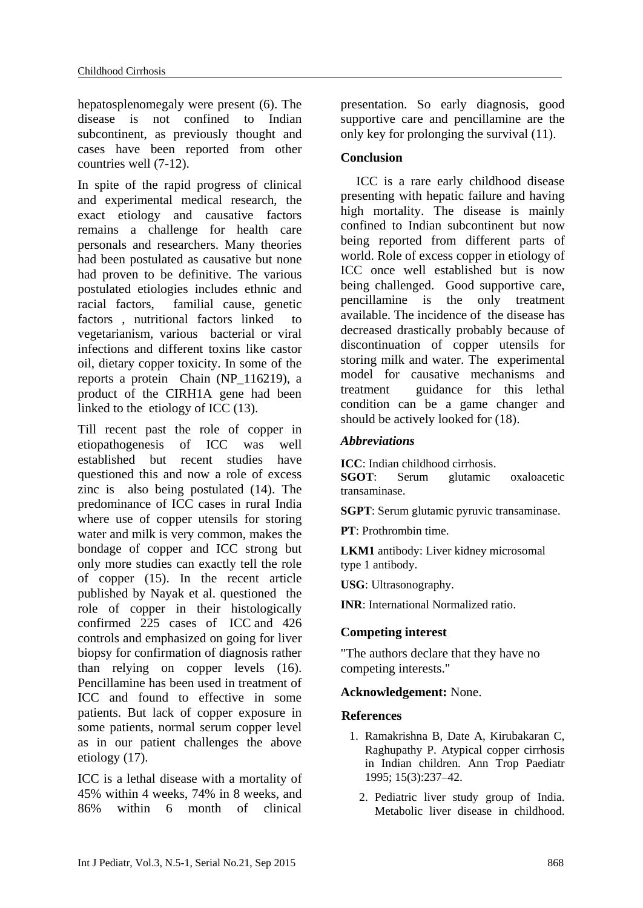hepatosplenomegaly were present (6). The disease is not confined to Indian subcontinent, as previously thought and cases have been reported from other countries well (7-12).

In spite of the rapid progress of clinical and experimental medical research, the exact etiology and causative factors remains a challenge for health care personals and researchers. Many theories had been postulated as causative but none had proven to be definitive. The various postulated etiologies includes ethnic and racial factors, familial cause, genetic factors , nutritional factors linked to vegetarianism, various bacterial or viral infections and different toxins like castor oil, dietary copper toxicity. In some of the reports a protein Chain (NP\_116219), a product of the CIRH1A gene had been linked to the etiology of ICC (13).

Till recent past the role of copper in etiopathogenesis of ICC was well established but recent studies have questioned this and now a role of excess zinc is also being postulated (14). The predominance of ICC cases in rural India where use of copper utensils for storing water and milk is very common, makes the bondage of copper and ICC strong but only more studies can exactly tell the role of copper (15). In the recent article published by Nayak et al. questioned the role of copper in their histologically confirmed 225 cases of ICC and 426 controls and emphasized on going for liver biopsy for confirmation of diagnosis rather than relying on copper levels (16). Pencillamine has been used in treatment of ICC and found to effective in some patients. But lack of copper exposure in some patients, normal serum copper level as in our patient challenges the above etiology (17).

ICC is a lethal disease with a mortality of 45% within 4 weeks, 74% in 8 weeks, and 86% within 6 month of clinical

presentation. So early diagnosis, good supportive care and pencillamine are the only key for prolonging the survival (11).

# **Conclusion**

ICC is a rare early childhood disease presenting with hepatic failure and having high mortality. The disease is mainly confined to Indian subcontinent but now being reported from different parts of world. Role of excess copper in etiology of ICC once well established but is now being challenged. Good supportive care, pencillamine is the only treatment available. The incidence of the disease has decreased drastically probably because of discontinuation of copper utensils for storing milk and water. The experimental model for causative mechanisms and treatment guidance for this lethal condition can be a game changer and should be actively looked for (18).

# *Abbreviations*

**ICC**: Indian childhood cirrhosis.<br>**SGOT**: Serum glutamic Serum glutamic oxaloacetic transaminase.

**SGPT**: Serum glutamic pyruvic transaminase.

**PT**: Prothrombin time.

**LKM1** antibody: Liver kidney microsomal type 1 antibody.

**USG**: Ultrasonography.

**INR**: International Normalized ratio.

# **Competing interest**

"The authors declare that they have no competing interests."

# **Acknowledgement:** None.

# **References**

- 1. Ramakrishna B, Date A, Kirubakaran C, Raghupathy P. Atypical copper cirrhosis in Indian children. Ann Trop Paediatr 1995; 15(3):237–42.
	- 2. Pediatric liver study group of India. Metabolic liver disease in childhood.